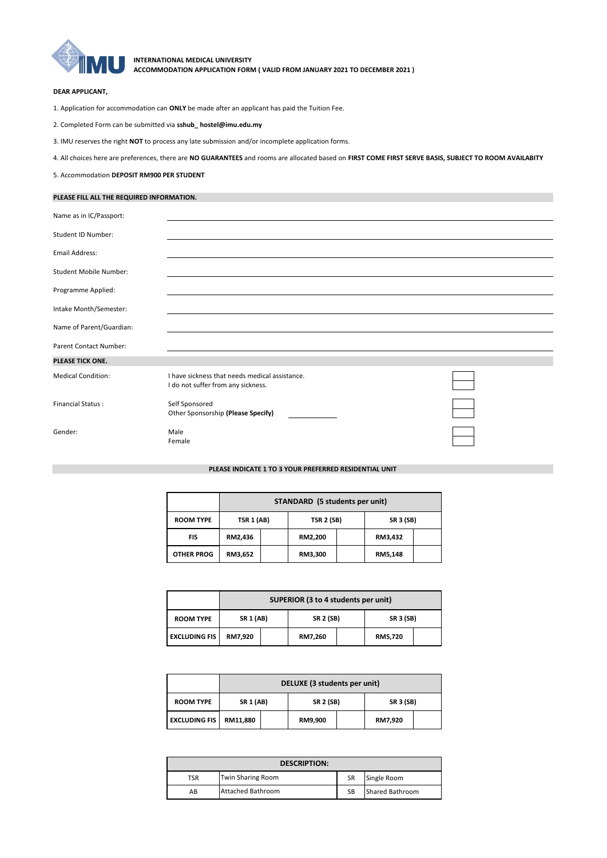

**INTERNATIONAL MEDICAL UNIVERSITY ACCOMMODATION APPLICATION FORM ( VALID FROM JANUARY 2021 TO DECEMBER 2021 )**

## **DEAR APPLICANT,**

- 1. Application for accommodation can **ONLY** be made after an applicant has paid the Tuition Fee.
- 2. Completed Form can be submitted via **sshub\_ hostel@imu.edu.my**
- 3. IMU reserves the right **NOT** to process any late submission and/or incomplete application forms.
- 4. All choices here are preferences, there are **NO GUARANTEES** and rooms are allocated based on **FIRST COME FIRST SERVE BASIS, SUBJECT TO ROOM AVAILABITY**
- 5. Accommodation **DEPOSIT RM900 PER STUDENT**

## **PLEASE FILL ALL THE REQUIRED INFORMATION.**

| Name as in IC/Passport:       |                                                                                      |
|-------------------------------|--------------------------------------------------------------------------------------|
| Student ID Number:            |                                                                                      |
| Email Address:                |                                                                                      |
| <b>Student Mobile Number:</b> |                                                                                      |
| Programme Applied:            |                                                                                      |
| Intake Month/Semester:        |                                                                                      |
| Name of Parent/Guardian:      |                                                                                      |
| Parent Contact Number:        |                                                                                      |
| PLEASE TICK ONE.              |                                                                                      |
| <b>Medical Condition:</b>     | I have sickness that needs medical assistance.<br>I do not suffer from any sickness. |
| <b>Financial Status:</b>      | Self Sponsored<br>Other Sponsorship (Please Specify)                                 |
| Gender:                       | Male<br>Female                                                                       |

## **PLEASE INDICATE 1 TO 3 YOUR PREFERRED RESIDENTIAL UNIT**

|                   | STANDARD (5 students per unit) |  |                   |  |                  |  |
|-------------------|--------------------------------|--|-------------------|--|------------------|--|
| <b>ROOM TYPE</b>  | <b>TSR 1 (AB)</b>              |  | <b>TSR 2 (SB)</b> |  | <b>SR 3 (SB)</b> |  |
| FIS               | RM2,436                        |  | RM2,200           |  | RM3,432          |  |
| <b>OTHER PROG</b> | RM3,652                        |  | RM3,300           |  | RM5,148          |  |

|                      | SUPERIOR (3 to 4 students per unit) |                                      |         |                  |         |  |
|----------------------|-------------------------------------|--------------------------------------|---------|------------------|---------|--|
| <b>ROOM TYPE</b>     |                                     | <b>SR 1 (AB)</b><br><b>SR 2 (SB)</b> |         | <b>SR 3 (SB)</b> |         |  |
| <b>EXCLUDING FIS</b> | RM7,920                             |                                      | RM7,260 |                  | RM5,720 |  |

|                      | DELUXE (3 students per unit)         |  |                  |  |         |  |
|----------------------|--------------------------------------|--|------------------|--|---------|--|
| <b>ROOM TYPE</b>     | <b>SR 2 (SB)</b><br><b>SR 1 (AB)</b> |  | <b>SR 3 (SB)</b> |  |         |  |
| <b>EXCLUDING FIS</b> | RM11,880                             |  | RM9,900          |  | RM7,920 |  |

| <b>DESCRIPTION:</b> |                          |           |                        |  |  |
|---------------------|--------------------------|-----------|------------------------|--|--|
| TSR                 | <b>Twin Sharing Room</b> | <b>SR</b> | Single Room            |  |  |
| AB                  | <b>Attached Bathroom</b> | SB        | <b>Shared Bathroom</b> |  |  |